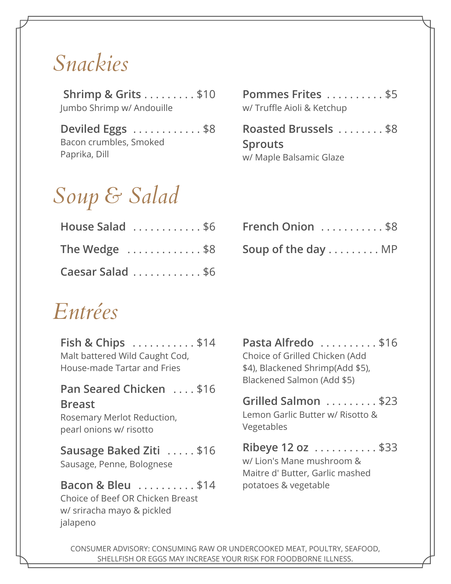# *Snackies*

 **Shrimp & Grits** . . . . . . . . . \$10 Jumbo Shrimp w/ Andouille

**Deviled Eggs** . . . . . . . . . . . . \$8 Bacon crumbles, Smoked Paprika, Dill

# *Soup & Salad*

| House Salad \$6 French Onion \$8  |  |
|-----------------------------------|--|
| The Wedge \$8 Soup of the day  MP |  |
| Caesar Salad \$6                  |  |

| Pommes Frites \$5          |  |  |  |  |  |
|----------------------------|--|--|--|--|--|
| w/ Truffle Aioli & Ketchup |  |  |  |  |  |

**Roasted Brussels** . . . . . . . . \$8 **Sprouts** w/ Maple Balsamic Glaze

| House Salad \$6 French Onion \$8                                       |
|------------------------------------------------------------------------|
| The Wedge $\dots\dots\dots\dots$ \$8 Soup of the day $\dots\dots\dots$ |

# *Entrées*

jalapeno

**Fish & Chips** . . . . . . . . . . . \$14 Malt battered Wild Caught Cod, House-made Tartar and Fries **Pan Seared Chicken** . . . . \$16 **Breast** Rosemary Merlot Reduction, pearl onions w/ risotto **Sausage Baked Ziti** . . . . . \$16 Sausage, Penne, Bolognese **Bacon & Bleu** . . . . . . . . . \$14 potatoes & vegetable Choice of Beef OR Chicken Breast w/ sriracha mayo & pickled

**Pasta Alfredo** . . . . . . . . . . \$16 Choice of Grilled Chicken (Add \$4), Blackened Shrimp(Add \$5), Blackened Salmon (Add \$5)

**Grilled Salmon** . . . . . . . . . \$23 Lemon Garlic Butter w/ Risotto & Vegetables

**Ribeye 12 oz** . . . . . . . . . . . \$33 w/ Lion's Mane mushroom & Maitre d' Butter, Garlic mashed

CONSUMER ADVISORY: CONSUMING RAW OR UNDERCOOKED MEAT, POULTRY, SEAFOOD, SHELLFISH OR EGGS MAY INCREASE YOUR RISK FOR FOODBORNE ILLNESS.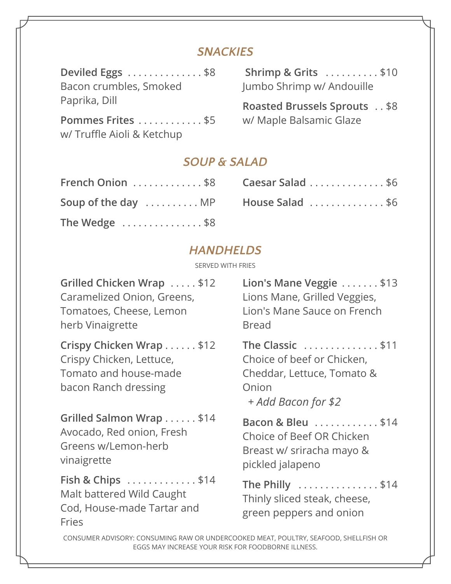# *SNACKIES*

| Deviled Eggs \$8           | Shrimp & Grits $\dots \dots \dots$ \$10 |
|----------------------------|-----------------------------------------|
| Bacon crumbles, Smoked     | Jumbo Shrimp w/ Andouille               |
| Paprika, Dill              | <b>Roasted Brussels Sprouts</b> \$8     |
| Pommes Frites \$5          | w/ Maple Balsamic Glaze                 |
| w/ Truffle Aioli & Ketchup |                                         |

## *SOUP & SALAD*

| French Onion \$8    |
|---------------------|
| Soup of the day  MP |
| The Wedge \$8       |

| French Onion \$8 Caesar Salad \$6                                           |
|-----------------------------------------------------------------------------|
| Soup of the day $\dots\dots\dots$ MP House Salad $\dots\dots\dots\dots$ \$6 |

## *HANDHELDS*

SERVED WITH FRIES

| Grilled Chicken Wrap  \$12<br>Caramelized Onion, Greens,<br>Tomatoes, Cheese, Lemon<br>herb Vinaigrette | Lion's Mane Veggie \$13<br>Lions Mane, Grilled Veggies,<br>Lion's Mane Sauce on French<br><b>Bread</b>       |
|---------------------------------------------------------------------------------------------------------|--------------------------------------------------------------------------------------------------------------|
| Crispy Chicken Wrap \$12<br>Crispy Chicken, Lettuce,<br>Tomato and house-made<br>bacon Ranch dressing   | The Classic \$11<br>Choice of beef or Chicken,<br>Cheddar, Lettuce, Tomato &<br>Onion<br>+ Add Bacon for \$2 |
| Grilled Salmon Wrap \$14<br>Avocado, Red onion, Fresh<br>Greens w/Lemon-herb<br>vinaigrette             | Bacon & Bleu \$14<br>Choice of Beef OR Chicken<br>Breast w/ sriracha mayo &<br>pickled jalapeno              |
| Fish & Chips \$14<br>Malt battered Wild Caught<br>Cod, House-made Tartar and<br><b>Fries</b>            | The Philly \$14<br>Thinly sliced steak, cheese,<br>green peppers and onion                                   |
| CONCLIMED ADVICORY, CONCLIMING BANLOR UNIDERCOOKED MEAT BOULTRY CEAFOOD CUELLEICH                       |                                                                                                              |

CONSUMER ADVISORY: CONSUMING RAW OR UNDERCOOKED MEAT, POULTRY, SEAFOOD, SHELLFISH OR EGGS MAY INCREASE YOUR RISK FOR FOODBORNE ILLNESS.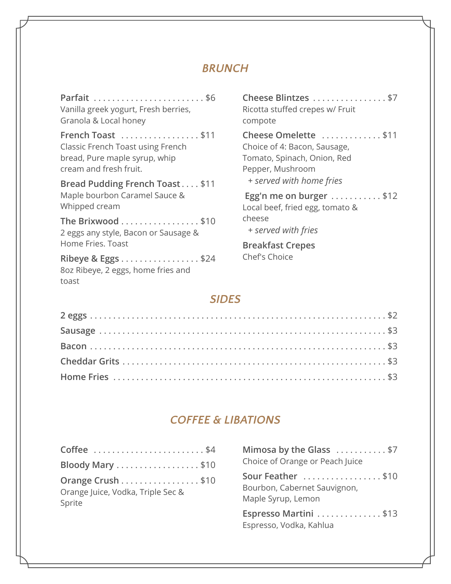### *BRUNCH*

| Vanilla greek yogurt, Fresh berries,<br>Granola & Local honey                                                            |
|--------------------------------------------------------------------------------------------------------------------------|
| French Toast \$11<br><b>Classic French Toast using French</b><br>bread, Pure maple syrup, whip<br>cream and fresh fruit. |
| Bread Pudding French Toast \$11<br>Maple bourbon Caramel Sauce &<br>Whipped cream                                        |
| The Brixwood \$10<br>2 eggs any style, Bacon or Sausage &<br>Home Fries. Toast                                           |
| Ribeye & Eggs \$24<br>8oz Ribeye, 2 eggs, home fries and<br>toast                                                        |

**Cheese Blintzes** . . . . . . . . . . . . . . . . \$7 Ricotta stuffed crepes w/ Fruit compote **Cheese Omelette** . . . . . . . . . . . . . \$11 Choice of 4: Bacon, Sausage, Tomato, Spinach, Onion, Red Pepper, Mushroom  $+$  served with home fries Egg'n me on burger . . . . . . . . . . . \$12 Local beef, fried egg, tomato & cheese *+ served with fries* **Breakfast Crepes Chef's Choice** 

*SIDES*

## *COFFEE & LIBATIONS*

| Coffee \$4                        | Mimosa by the Glass \$7                          |
|-----------------------------------|--------------------------------------------------|
| Bloody Mary \$10                  | Choice of Orange or Peach Juice                  |
| Orange Crush \$10                 | Sour Feather \$10                                |
| Orange Juice, Vodka, Triple Sec & | Bourbon, Cabernet Sauvignon,                     |
| Sprite                            | Maple Syrup, Lemon                               |
|                                   | Espresso Martini \$13<br>Espresso, Vodka, Kahlua |